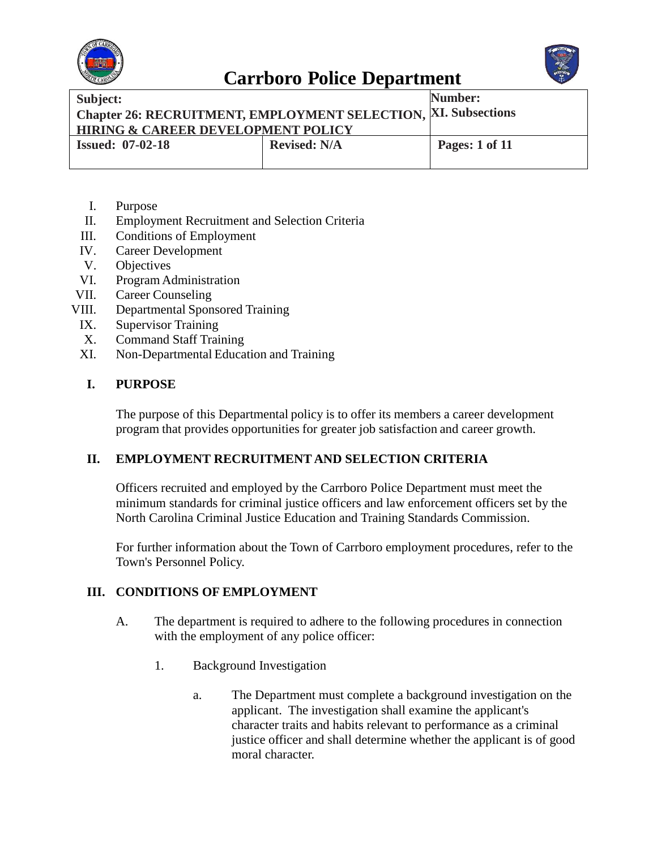



| Subject:                                                       |                     | Number:               |
|----------------------------------------------------------------|---------------------|-----------------------|
| Chapter 26: RECRUITMENT, EMPLOYMENT SELECTION, XI. Subsections |                     |                       |
| <b>HIRING &amp; CAREER DEVELOPMENT POLICY</b>                  |                     |                       |
| <b>Issued: 07-02-18</b>                                        | <b>Revised: N/A</b> | <b>Pages: 1 of 11</b> |
|                                                                |                     |                       |

- I. Purpose
- II. Employment Recruitment and Selection Criteria
- III. Conditions of Employment
- IV. Career Development
- V. Objectives
- VI. ProgramAdministration
- VII. Career Counseling
- VIII. Departmental Sponsored Training
- IX. Supervisor Training
- X. Command Staff Training
- XI. Non-Departmental Education and Training

#### **I. PURPOSE**

The purpose of this Departmental policy is to offer its members a career development program that provides opportunities for greater job satisfaction and career growth.

#### **II. EMPLOYMENT RECRUITMENT AND SELECTION CRITERIA**

Officers recruited and employed by the Carrboro Police Department must meet the minimum standards for criminal justice officers and law enforcement officers set by the North Carolina Criminal Justice Education and Training Standards Commission.

For further information about the Town of Carrboro employment procedures, refer to the Town's Personnel Policy.

#### **III. CONDITIONS OF EMPLOYMENT**

- A. The department is required to adhere to the following procedures in connection with the employment of any police officer:
	- 1. Background Investigation
		- a. The Department must complete a background investigation on the applicant. The investigation shall examine the applicant's character traits and habits relevant to performance as a criminal justice officer and shall determine whether the applicant is of good moral character.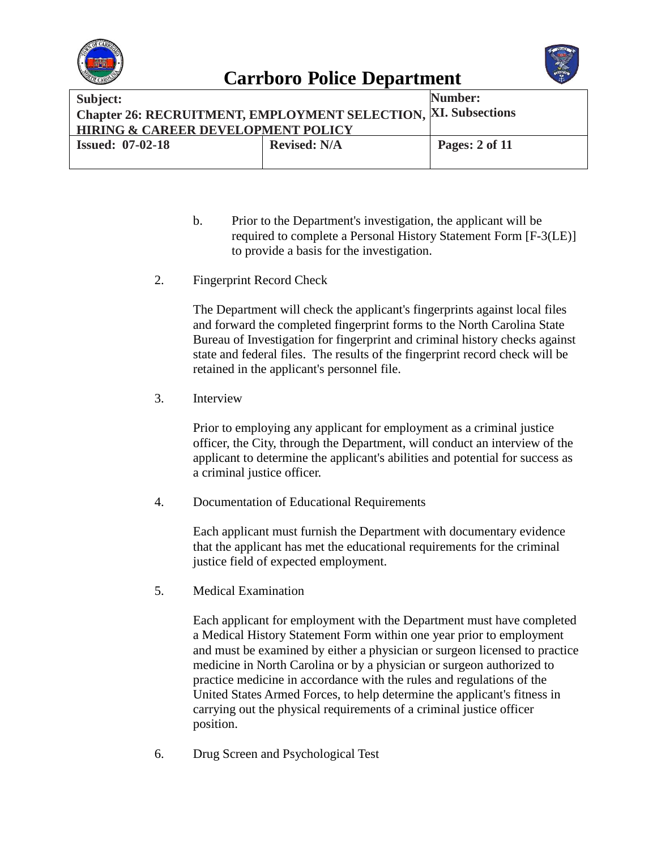



| Subject:<br><b>Chapter 26: RECRUITMENT, EMPLOYMENT SELECTION, XI. Subsections</b><br><b>HIRING &amp; CAREER DEVELOPMENT POLICY</b> |                     | Number:        |
|------------------------------------------------------------------------------------------------------------------------------------|---------------------|----------------|
| <b>Issued: 07-02-18</b>                                                                                                            | <b>Revised: N/A</b> | Pages: 2 of 11 |

- b. Prior to the Department's investigation, the applicant will be required to complete a Personal History Statement Form [F-3(LE)] to provide a basis for the investigation.
- 2. Fingerprint Record Check

The Department will check the applicant's fingerprints against local files and forward the completed fingerprint forms to the North Carolina State Bureau of Investigation for fingerprint and criminal history checks against state and federal files. The results of the fingerprint record check will be retained in the applicant's personnel file.

3. Interview

Prior to employing any applicant for employment as a criminal justice officer, the City, through the Department, will conduct an interview of the applicant to determine the applicant's abilities and potential for success as a criminal justice officer.

4. Documentation of Educational Requirements

Each applicant must furnish the Department with documentary evidence that the applicant has met the educational requirements for the criminal justice field of expected employment.

5. Medical Examination

Each applicant for employment with the Department must have completed a Medical History Statement Form within one year prior to employment and must be examined by either a physician or surgeon licensed to practice medicine in North Carolina or by a physician or surgeon authorized to practice medicine in accordance with the rules and regulations of the United States Armed Forces, to help determine the applicant's fitness in carrying out the physical requirements of a criminal justice officer position.

6. Drug Screen and Psychological Test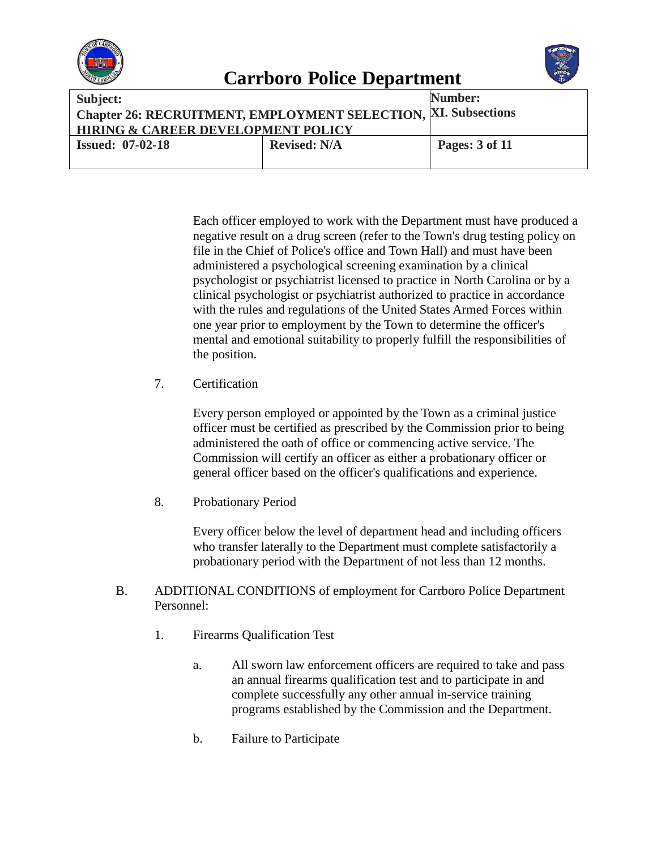

| Subject:                                                       |                     | Number:        |
|----------------------------------------------------------------|---------------------|----------------|
| Chapter 26: RECRUITMENT, EMPLOYMENT SELECTION, XI. Subsections |                     |                |
| <b>HIRING &amp; CAREER DEVELOPMENT POLICY</b>                  |                     |                |
| <b>Issued: 07-02-18</b>                                        | <b>Revised: N/A</b> | Pages: 3 of 11 |
|                                                                |                     |                |

Each officer employed to work with the Department must have produced a negative result on a drug screen (refer to the Town's drug testing policy on file in the Chief of Police's office and Town Hall) and must have been administered a psychological screening examination by a clinical psychologist or psychiatrist licensed to practice in North Carolina or by a clinical psychologist or psychiatrist authorized to practice in accordance with the rules and regulations of the United States Armed Forces within one year prior to employment by the Town to determine the officer's mental and emotional suitability to properly fulfill the responsibilities of the position.

7. Certification

Every person employed or appointed by the Town as a criminal justice officer must be certified as prescribed by the Commission prior to being administered the oath of office or commencing active service. The Commission will certify an officer as either a probationary officer or general officer based on the officer's qualifications and experience.

8. Probationary Period

Every officer below the level of department head and including officers who transfer laterally to the Department must complete satisfactorily a probationary period with the Department of not less than 12 months.

- B. ADDITIONAL CONDITIONS of employment for Carrboro Police Department Personnel:
	- 1. Firearms Qualification Test
		- a. All sworn law enforcement officers are required to take and pass an annual firearms qualification test and to participate in and complete successfully any other annual in-service training programs established by the Commission and the Department.
		- b. Failure to Participate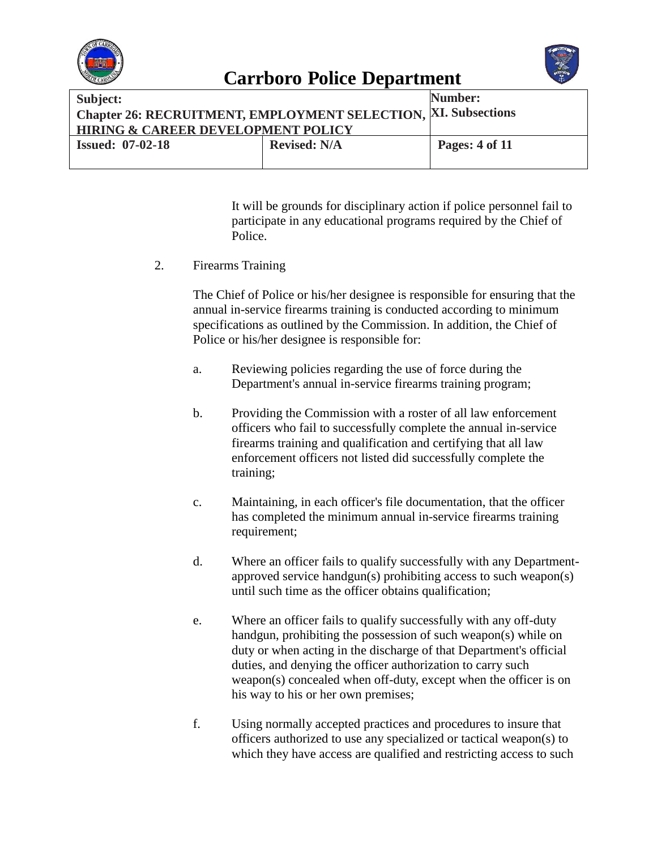



| Subject:                                                       |                     | Number:        |
|----------------------------------------------------------------|---------------------|----------------|
| Chapter 26: RECRUITMENT, EMPLOYMENT SELECTION, XI. Subsections |                     |                |
| <b>HIRING &amp; CAREER DEVELOPMENT POLICY</b>                  |                     |                |
| <b>Issued: 07-02-18</b>                                        | <b>Revised: N/A</b> | Pages: 4 of 11 |
|                                                                |                     |                |

It will be grounds for disciplinary action if police personnel fail to participate in any educational programs required by the Chief of Police.

2. Firearms Training

The Chief of Police or his/her designee is responsible for ensuring that the annual in-service firearms training is conducted according to minimum specifications as outlined by the Commission. In addition, the Chief of Police or his/her designee is responsible for:

- a. Reviewing policies regarding the use of force during the Department's annual in-service firearms training program;
- b. Providing the Commission with a roster of all law enforcement officers who fail to successfully complete the annual in-service firearms training and qualification and certifying that all law enforcement officers not listed did successfully complete the training;
- c. Maintaining, in each officer's file documentation, that the officer has completed the minimum annual in-service firearms training requirement;
- d. Where an officer fails to qualify successfully with any Departmentapproved service handgun(s) prohibiting access to such weapon(s) until such time as the officer obtains qualification;
- e. Where an officer fails to qualify successfully with any off-duty handgun, prohibiting the possession of such weapon(s) while on duty or when acting in the discharge of that Department's official duties, and denying the officer authorization to carry such weapon(s) concealed when off-duty, except when the officer is on his way to his or her own premises;
- f. Using normally accepted practices and procedures to insure that officers authorized to use any specialized or tactical weapon(s) to which they have access are qualified and restricting access to such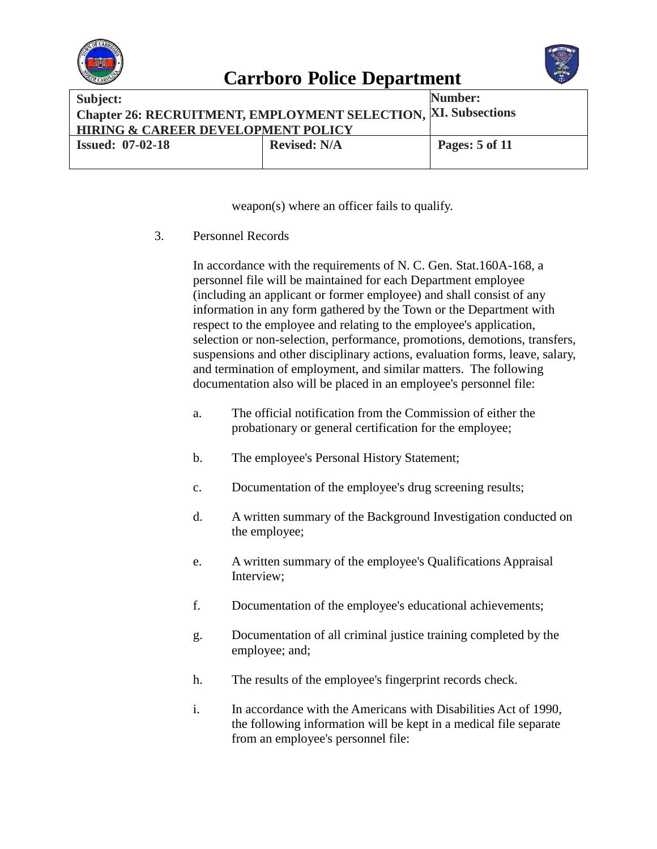



| Subject:                                                       |                     | Number:               |
|----------------------------------------------------------------|---------------------|-----------------------|
| Chapter 26: RECRUITMENT, EMPLOYMENT SELECTION, XI. Subsections |                     |                       |
| <b>HIRING &amp; CAREER DEVELOPMENT POLICY</b>                  |                     |                       |
| <b>Issued: 07-02-18</b>                                        | <b>Revised: N/A</b> | <b>Pages:</b> 5 of 11 |
|                                                                |                     |                       |

weapon(s) where an officer fails to qualify.

3. Personnel Records

In accordance with the requirements of N. C. Gen. Stat.160A-168, a personnel file will be maintained for each Department employee (including an applicant or former employee) and shall consist of any information in any form gathered by the Town or the Department with respect to the employee and relating to the employee's application, selection or non-selection, performance, promotions, demotions, transfers, suspensions and other disciplinary actions, evaluation forms, leave, salary, and termination of employment, and similar matters. The following documentation also will be placed in an employee's personnel file:

- a. The official notification from the Commission of either the probationary or general certification for the employee;
- b. The employee's Personal History Statement;
- c. Documentation of the employee's drug screening results;
- d. A written summary of the Background Investigation conducted on the employee;
- e. A written summary of the employee's Qualifications Appraisal Interview;
- f. Documentation of the employee's educational achievements;
- g. Documentation of all criminal justice training completed by the employee; and;
- h. The results of the employee's fingerprint records check.
- i. In accordance with the Americans with Disabilities Act of 1990, the following information will be kept in a medical file separate from an employee's personnel file: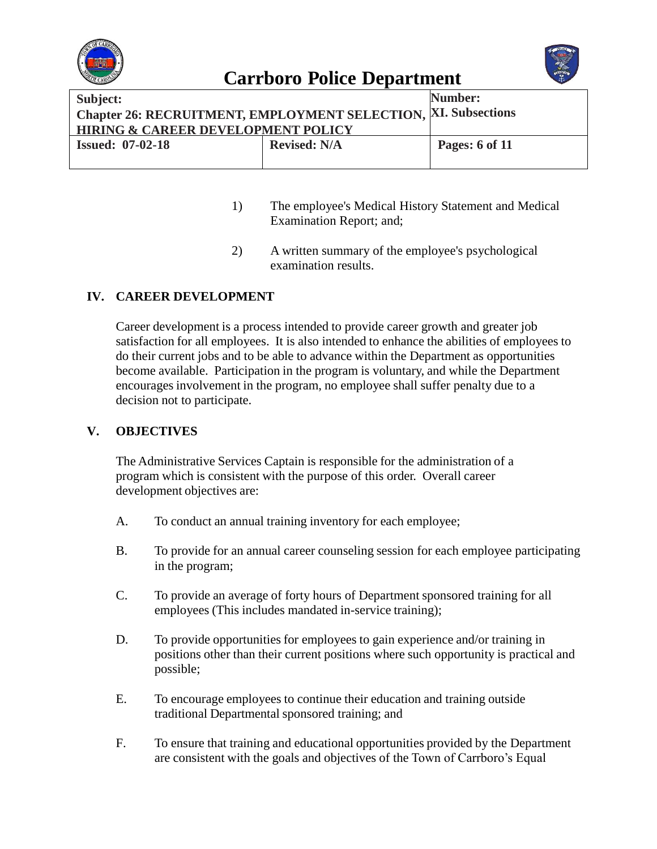



| Subject:                                                       |                     | Number:               |
|----------------------------------------------------------------|---------------------|-----------------------|
| Chapter 26: RECRUITMENT, EMPLOYMENT SELECTION, XI. Subsections |                     |                       |
| <b>HIRING &amp; CAREER DEVELOPMENT POLICY</b>                  |                     |                       |
| <b>Issued: 07-02-18</b>                                        | <b>Revised: N/A</b> | <b>Pages: 6 of 11</b> |
|                                                                |                     |                       |

- 1) The employee's Medical History Statement and Medical Examination Report; and;
- 2) A written summary of the employee's psychological examination results.

#### **IV. CAREER DEVELOPMENT**

Career development is a process intended to provide career growth and greater job satisfaction for all employees. It is also intended to enhance the abilities of employees to do their current jobs and to be able to advance within the Department as opportunities become available. Participation in the program is voluntary, and while the Department encourages involvement in the program, no employee shall suffer penalty due to a decision not to participate.

#### **V. OBJECTIVES**

The Administrative Services Captain is responsible for the administration of a program which is consistent with the purpose of this order. Overall career development objectives are:

- A. To conduct an annual training inventory for each employee;
- B. To provide for an annual career counseling session for each employee participating in the program;
- C. To provide an average of forty hours of Department sponsored training for all employees (This includes mandated in-service training);
- D. To provide opportunities for employees to gain experience and/or training in positions other than their current positions where such opportunity is practical and possible;
- E. To encourage employees to continue their education and training outside traditional Departmental sponsored training; and
- F. To ensure that training and educational opportunities provided by the Department are consistent with the goals and objectives of the Town of Carrboro's Equal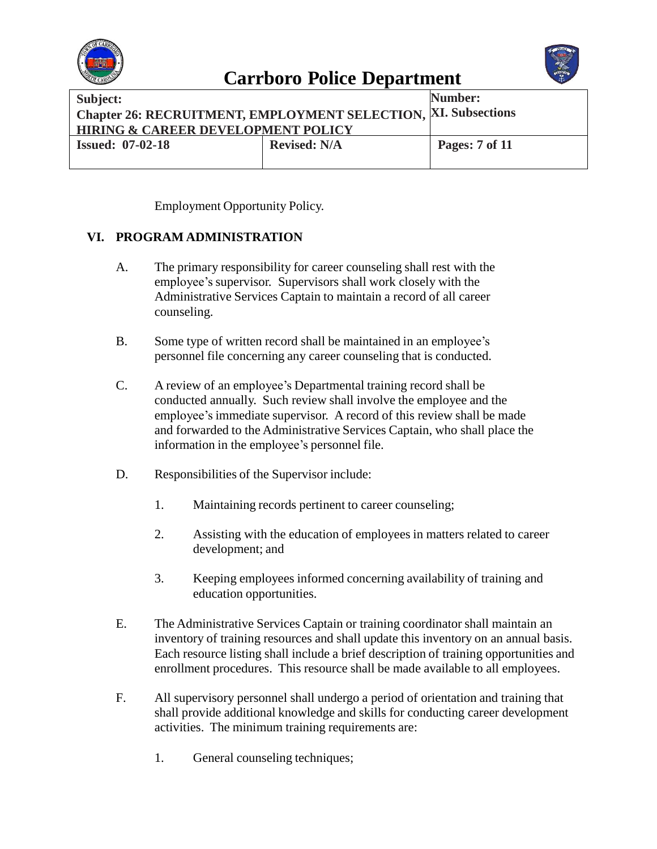



| Subject:                                                       |                     | Number:               |
|----------------------------------------------------------------|---------------------|-----------------------|
| Chapter 26: RECRUITMENT, EMPLOYMENT SELECTION, XI. Subsections |                     |                       |
| <b>HIRING &amp; CAREER DEVELOPMENT POLICY</b>                  |                     |                       |
| <b>Issued: 07-02-18</b>                                        | <b>Revised: N/A</b> | <b>Pages:</b> 7 of 11 |
|                                                                |                     |                       |

Employment Opportunity Policy.

#### **VI. PROGRAM ADMINISTRATION**

- A. The primary responsibility for career counseling shall rest with the employee's supervisor. Supervisors shall work closely with the Administrative Services Captain to maintain a record of all career counseling.
- B. Some type of written record shall be maintained in an employee's personnel file concerning any career counseling that is conducted.
- C. A review of an employee's Departmental training record shall be conducted annually. Such review shall involve the employee and the employee's immediate supervisor. A record of this review shall be made and forwarded to the Administrative Services Captain, who shall place the information in the employee's personnel file.
- D. Responsibilities of the Supervisor include:
	- 1. Maintaining records pertinent to career counseling;
	- 2. Assisting with the education of employees in matters related to career development; and
	- 3. Keeping employees informed concerning availability of training and education opportunities.
- E. The Administrative Services Captain or training coordinator shall maintain an inventory of training resources and shall update this inventory on an annual basis. Each resource listing shall include a brief description of training opportunities and enrollment procedures. This resource shall be made available to all employees.
- F. All supervisory personnel shall undergo a period of orientation and training that shall provide additional knowledge and skills for conducting career development activities. The minimum training requirements are:
	- 1. General counseling techniques;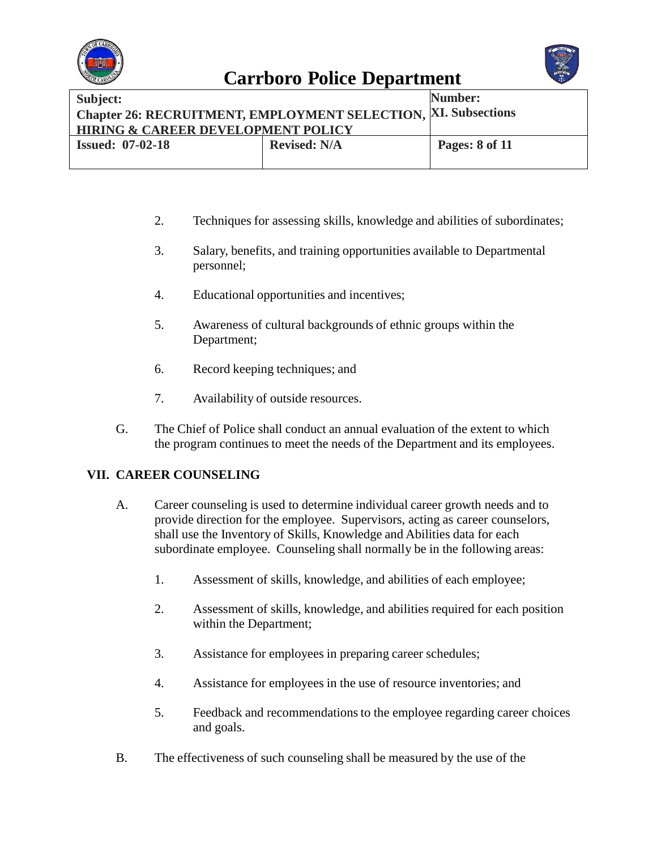



| Subject:                                                       |                     | Number:               |
|----------------------------------------------------------------|---------------------|-----------------------|
| Chapter 26: RECRUITMENT, EMPLOYMENT SELECTION, XI. Subsections |                     |                       |
| <b>HIRING &amp; CAREER DEVELOPMENT POLICY</b>                  |                     |                       |
| <b>Issued: 07-02-18</b>                                        | <b>Revised: N/A</b> | <b>Pages: 8 of 11</b> |
|                                                                |                     |                       |

- 2. Techniques for assessing skills, knowledge and abilities of subordinates;
- 3. Salary, benefits, and training opportunities available to Departmental personnel;
- 4. Educational opportunities and incentives;
- 5. Awareness of cultural backgrounds of ethnic groups within the Department;
- 6. Record keeping techniques; and
- 7. Availability of outside resources.
- G. The Chief of Police shall conduct an annual evaluation of the extent to which the program continues to meet the needs of the Department and its employees.

#### **VII. CAREER COUNSELING**

- A. Career counseling is used to determine individual career growth needs and to provide direction for the employee. Supervisors, acting as career counselors, shall use the Inventory of Skills, Knowledge and Abilities data for each subordinate employee. Counseling shall normally be in the following areas:
	- 1. Assessment of skills, knowledge, and abilities of each employee;
	- 2. Assessment of skills, knowledge, and abilities required for each position within the Department;
	- 3. Assistance for employees in preparing career schedules;
	- 4. Assistance for employees in the use of resource inventories; and
	- 5. Feedback and recommendationsto the employee regarding career choices and goals.
- B. The effectiveness of such counseling shall be measured by the use of the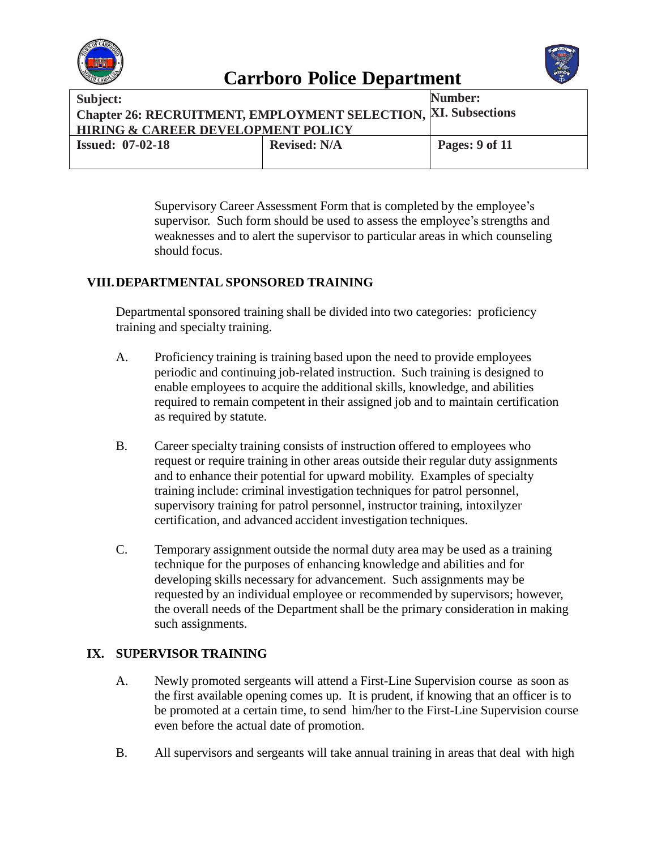



Supervisory Career Assessment Form that is completed by the employee's supervisor. Such form should be used to assess the employee's strengths and weaknesses and to alert the supervisor to particular areas in which counseling should focus.

#### **VIII.DEPARTMENTAL SPONSORED TRAINING**

Departmental sponsored training shall be divided into two categories: proficiency training and specialty training.

- A. Proficiency training is training based upon the need to provide employees periodic and continuing job-related instruction. Such training is designed to enable employees to acquire the additional skills, knowledge, and abilities required to remain competent in their assigned job and to maintain certification as required by statute.
- B. Career specialty training consists of instruction offered to employees who request or require training in other areas outside their regular duty assignments and to enhance their potential for upward mobility. Examples of specialty training include: criminal investigation techniques for patrol personnel, supervisory training for patrol personnel, instructor training, intoxilyzer certification, and advanced accident investigation techniques.
- C. Temporary assignment outside the normal duty area may be used as a training technique for the purposes of enhancing knowledge and abilities and for developing skills necessary for advancement. Such assignments may be requested by an individual employee or recommended by supervisors; however, the overall needs of the Department shall be the primary consideration in making such assignments.

### **IX. SUPERVISOR TRAINING**

- A. Newly promoted sergeants will attend a First-Line Supervision course as soon as the first available opening comes up. It is prudent, if knowing that an officer is to be promoted at a certain time, to send him/her to the First-Line Supervision course even before the actual date of promotion.
- B. All supervisors and sergeants will take annual training in areas that deal with high

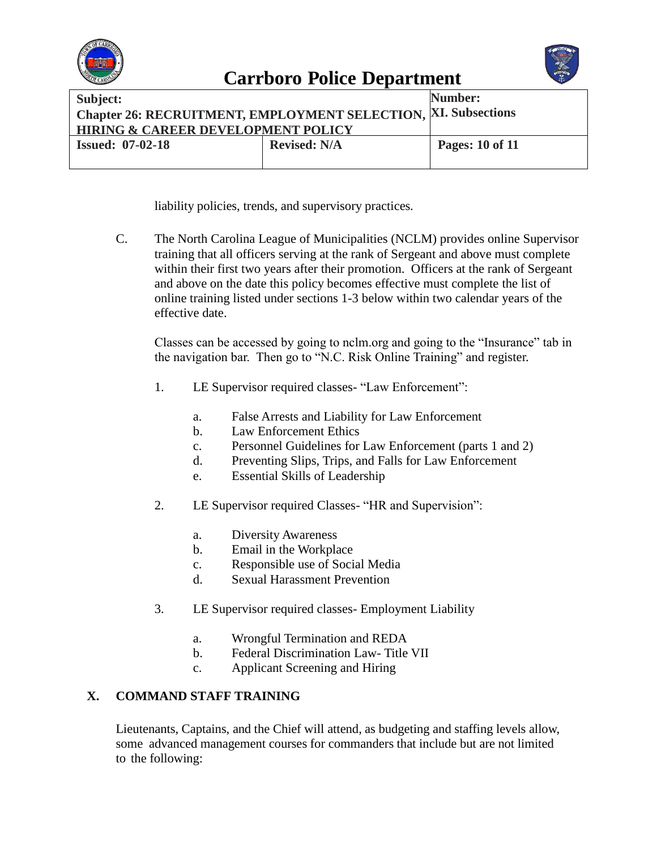



| Subject:                                                              |                     | <b>Number:</b>         |
|-----------------------------------------------------------------------|---------------------|------------------------|
| <b>Chapter 26: RECRUITMENT, EMPLOYMENT SELECTION, XI. Subsections</b> |                     |                        |
| <b>HIRING &amp; CAREER DEVELOPMENT POLICY</b>                         |                     |                        |
| <b>Issued: 07-02-18</b>                                               | <b>Revised: N/A</b> | <b>Pages: 10 of 11</b> |
|                                                                       |                     |                        |

liability policies, trends, and supervisory practices.

C. The North Carolina League of Municipalities (NCLM) provides online Supervisor training that all officers serving at the rank of Sergeant and above must complete within their first two years after their promotion. Officers at the rank of Sergeant and above on the date this policy becomes effective must complete the list of online training listed under sections 1-3 below within two calendar years of the effective date.

Classes can be accessed by going to nclm.org and going to the "Insurance" tab in the navigation bar. Then go to "N.C. Risk Online Training" and register.

- 1. LE Supervisor required classes- "Law Enforcement":
	- a. False Arrests and Liability for Law Enforcement
	- b. Law Enforcement Ethics
	- c. Personnel Guidelines for Law Enforcement (parts 1 and 2)
	- d. Preventing Slips, Trips, and Falls for Law Enforcement
	- e. Essential Skills of Leadership
- 2. LE Supervisor required Classes- "HR and Supervision":
	- a. Diversity Awareness
	- b. Email in the Workplace
	- c. Responsible use of Social Media
	- d. Sexual Harassment Prevention
- 3. LE Supervisor required classes- Employment Liability
	- a. Wrongful Termination and REDA
	- b. Federal Discrimination Law- Title VII
	- c. Applicant Screening and Hiring

### **X. COMMAND STAFF TRAINING**

Lieutenants, Captains, and the Chief will attend, as budgeting and staffing levels allow, some advanced management courses for commanders that include but are not limited to the following: